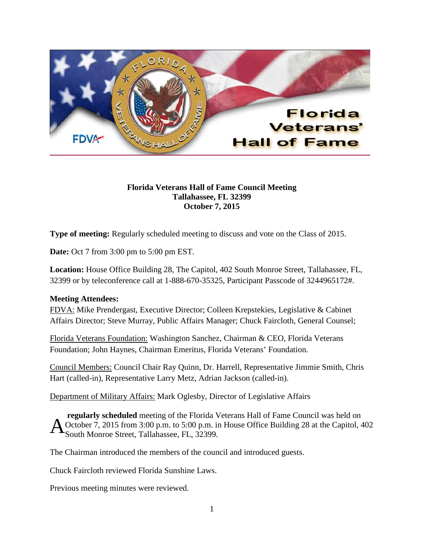

## **Florida Veterans Hall of Fame Council Meeting Tallahassee, FL 32399 October 7, 2015**

**Type of meeting:** Regularly scheduled meeting to discuss and vote on the Class of 2015.

**Date:** Oct 7 from 3:00 pm to 5:00 pm EST.

**Location:** House Office Building 28, The Capitol, 402 South Monroe Street, Tallahassee, FL, 32399 or by teleconference call at 1-888-670-35325, Participant Passcode of 3244965172#.

## **Meeting Attendees:**

FDVA: Mike Prendergast, Executive Director; Colleen Krepstekies, Legislative & Cabinet Affairs Director; Steve Murray, Public Affairs Manager; Chuck Faircloth, General Counsel;

Florida Veterans Foundation: Washington Sanchez, Chairman & CEO, Florida Veterans Foundation; John Haynes, Chairman Emeritus, Florida Veterans' Foundation.

Council Members: Council Chair Ray Quinn, Dr. Harrell, Representative Jimmie Smith, Chris Hart (called-in), Representative Larry Metz, Adrian Jackson (called-in).

Department of Military Affairs: Mark Oglesby, Director of Legislative Affairs

**regularly scheduled** meeting of the Florida Veterans Hall of Fame Council was held on October 7, 2015 from 3:00 p.m. to 5:00 p.m. in House Office Building 28 at the Capitol, 402 South Monroe Street, Tallahassee, FL, 32399. A

The Chairman introduced the members of the council and introduced guests.

Chuck Faircloth reviewed Florida Sunshine Laws.

Previous meeting minutes were reviewed.